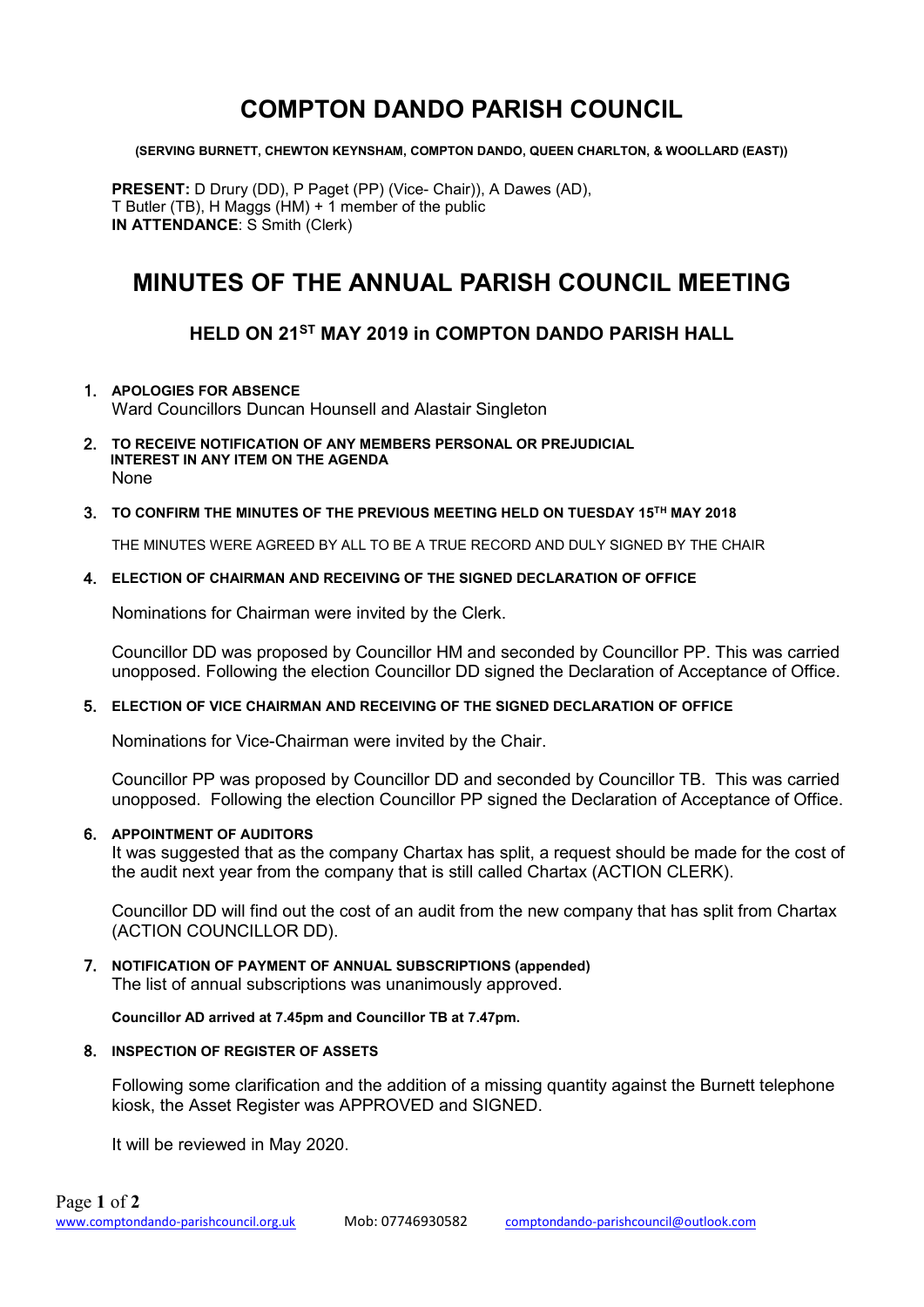## **COMPTON DANDO PARISH COUNCIL**

**(SERVING BURNETT, CHEWTON KEYNSHAM, COMPTON DANDO, QUEEN CHARLTON, & WOOLLARD (EAST))**

**PRESENT:** D Drury (DD), P Paget (PP) (Vice- Chair)), A Dawes (AD), T Butler (TB), H Maggs (HM) + 1 member of the public **IN ATTENDANCE**: S Smith (Clerk)

# **MINUTES OF THE ANNUAL PARISH COUNCIL MEETING**

## **HELD ON 21ST MAY 2019 in COMPTON DANDO PARISH HALL**

#### 1. **APOLOGIES FOR ABSENCE**

Ward Councillors Duncan Hounsell and Alastair Singleton

2. **TO RECEIVE NOTIFICATION OF ANY MEMBERS PERSONAL OR PREJUDICIAL INTEREST IN ANY ITEM ON THE AGENDA** None

#### 3. **TO CONFIRM THE MINUTES OF THE PREVIOUS MEETING HELD ON TUESDAY 15TH MAY 2018**

THE MINUTES WERE AGREED BY ALL TO BE A TRUE RECORD AND DULY SIGNED BY THE CHAIR

#### 4. **ELECTION OF CHAIRMAN AND RECEIVING OF THE SIGNED DECLARATION OF OFFICE**

Nominations for Chairman were invited by the Clerk.

Councillor DD was proposed by Councillor HM and seconded by Councillor PP. This was carried unopposed. Following the election Councillor DD signed the Declaration of Acceptance of Office.

#### 5. **ELECTION OF VICE CHAIRMAN AND RECEIVING OF THE SIGNED DECLARATION OF OFFICE**

Nominations for Vice-Chairman were invited by the Chair.

Councillor PP was proposed by Councillor DD and seconded by Councillor TB. This was carried unopposed. Following the election Councillor PP signed the Declaration of Acceptance of Office.

#### 6. **APPOINTMENT OF AUDITORS**

It was suggested that as the company Chartax has split, a request should be made for the cost of the audit next year from the company that is still called Chartax (ACTION CLERK).

Councillor DD will find out the cost of an audit from the new company that has split from Chartax (ACTION COUNCILLOR DD).

#### 7. **NOTIFICATION OF PAYMENT OF ANNUAL SUBSCRIPTIONS (appended)** The list of annual subscriptions was unanimously approved.

**Councillor AD arrived at 7.45pm and Councillor TB at 7.47pm.**

#### 8. **INSPECTION OF REGISTER OF ASSETS**

Following some clarification and the addition of a missing quantity against the Burnett telephone kiosk, the Asset Register was APPROVED and SIGNED.

It will be reviewed in May 2020.